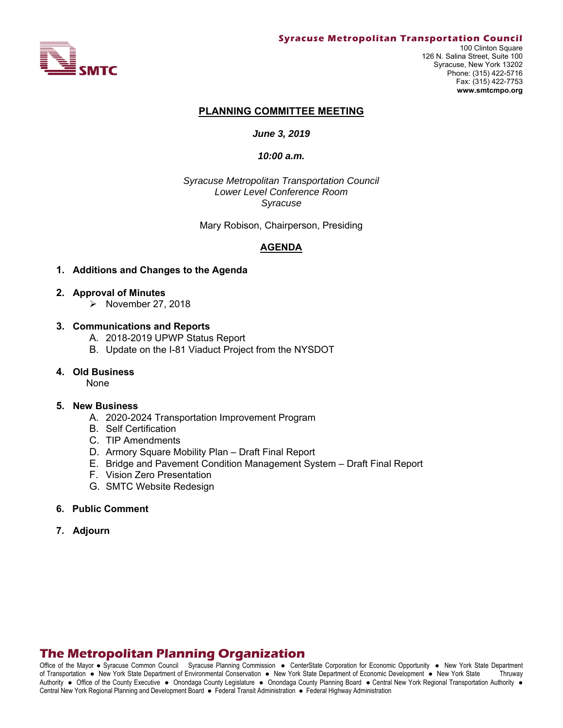

#### **Syracuse Metropolitan Transportation Council**

100 Clinton Square 126 N. Salina Street, Suite 100 Syracuse, New York 13202 Phone: (315) 422-5716 Fax: (315) 422-7753 **www.smtcmpo.org**

#### **PLANNING COMMITTEE MEETING**

### *June 3, 2019*

#### *10:00 a.m.*

*Syracuse Metropolitan Transportation Council Lower Level Conference Room Syracuse* 

Mary Robison, Chairperson, Presiding

### **AGENDA**

### **1. Additions and Changes to the Agenda**

- **2. Approval of Minutes** 
	- $\triangleright$  November 27, 2018

### **3. Communications and Reports**

- A. 2018-2019 UPWP Status Report
- B. Update on the I-81 Viaduct Project from the NYSDOT

### **4. Old Business**

None

#### **5. New Business**

- A. 2020-2024 Transportation Improvement Program
- B. Self Certification
- C. TIP Amendments
- D. Armory Square Mobility Plan Draft Final Report
- E. Bridge and Pavement Condition Management System Draft Final Report
- F. Vision Zero Presentation
- G. SMTC Website Redesign

#### **6. Public Comment**

**7. Adjourn**

# **The Metropolitan Planning Organization**

Office of the Mayor • Syracuse Common Council Syracuse Planning Commission • CenterState Corporation for Economic Opportunity • New York State Department of Transportation New York State Department of Environmental Conservation New York State Department of Economic Development New York State Thruway Authority . Office of the County Executive . Onondaga County Legislature . Onondaga County Planning Board . Central New York Regional Transportation Authority . Central New York Regional Planning and Development Board · Federal Transit Administration · Federal Highway Administration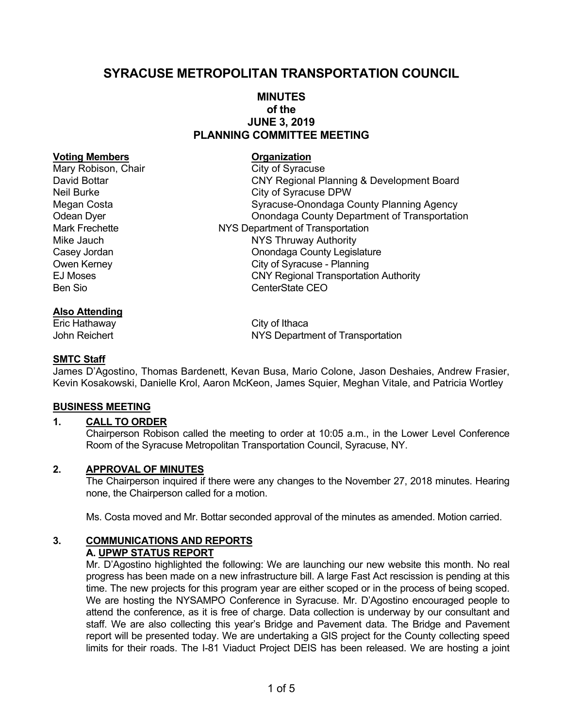# **SYRACUSE METROPOLITAN TRANSPORTATION COUNCIL**

# **MINUTES of the JUNE 3, 2019 PLANNING COMMITTEE MEETING**

### **Voting Members Construction Construction Construction Construction Construction Construction Construction Construction Construction Construction Construction Construction Construction Construction Construction Constructio**

# **Also Attending**

Eric Hathaway **City of Ithaca** 

Mary Robison, Chair City of Syracuse David Bottar CNY Regional Planning & Development Board Neil Burke City of Syracuse DPW Megan Costa **Syracuse-Onondaga County Planning Agency** Odean Dyer Onondaga County Department of Transportation Mark Frechette NYS Department of Transportation Mike Jauch **NYS Thruway Authority** Casey Jordan Casey Jordan Casey Jordan Casey Jordan Casey Jordan County Legislature Owen Kerney **City of Syracuse** - Planning EJ Moses CNY Regional Transportation Authority Ben Sio **CenterState CEO** 

John Reichert NYS Department of Transportation

# **SMTC Staff**

James D'Agostino, Thomas Bardenett, Kevan Busa, Mario Colone, Jason Deshaies, Andrew Frasier, Kevin Kosakowski, Danielle Krol, Aaron McKeon, James Squier, Meghan Vitale, and Patricia Wortley

### **BUSINESS MEETING**

# **1. CALL TO ORDER**

Chairperson Robison called the meeting to order at 10:05 a.m., in the Lower Level Conference Room of the Syracuse Metropolitan Transportation Council, Syracuse, NY.

### **2. APPROVAL OF MINUTES**

The Chairperson inquired if there were any changes to the November 27, 2018 minutes. Hearing none, the Chairperson called for a motion.

Ms. Costa moved and Mr. Bottar seconded approval of the minutes as amended. Motion carried.

### **3. COMMUNICATIONS AND REPORTS A. UPWP STATUS REPORT**

Mr. D'Agostino highlighted the following: We are launching our new website this month. No real progress has been made on a new infrastructure bill. A large Fast Act rescission is pending at this time. The new projects for this program year are either scoped or in the process of being scoped. We are hosting the NYSAMPO Conference in Syracuse. Mr. D'Agostino encouraged people to attend the conference, as it is free of charge. Data collection is underway by our consultant and staff. We are also collecting this year's Bridge and Pavement data. The Bridge and Pavement report will be presented today. We are undertaking a GIS project for the County collecting speed limits for their roads. The I-81 Viaduct Project DEIS has been released. We are hosting a joint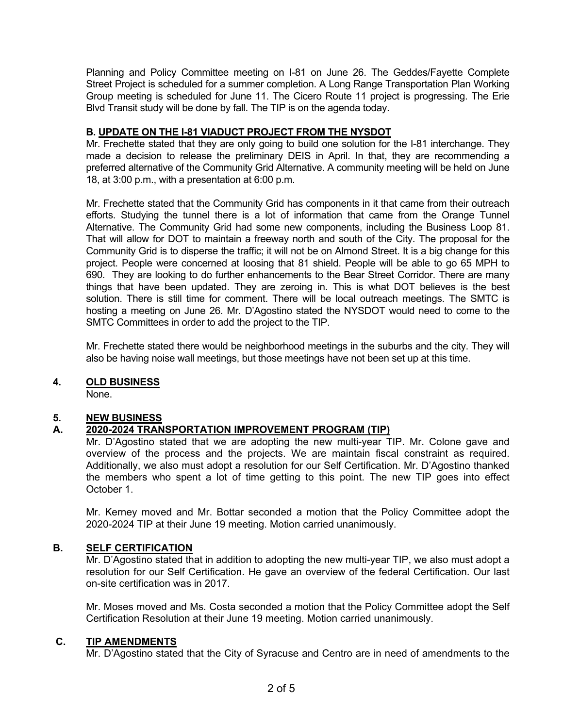Planning and Policy Committee meeting on I-81 on June 26. The Geddes/Fayette Complete Street Project is scheduled for a summer completion. A Long Range Transportation Plan Working Group meeting is scheduled for June 11. The Cicero Route 11 project is progressing. The Erie Blvd Transit study will be done by fall. The TIP is on the agenda today.

# **B. UPDATE ON THE I-81 VIADUCT PROJECT FROM THE NYSDOT**

Mr. Frechette stated that they are only going to build one solution for the I-81 interchange. They made a decision to release the preliminary DEIS in April. In that, they are recommending a preferred alternative of the Community Grid Alternative. A community meeting will be held on June 18, at 3:00 p.m., with a presentation at 6:00 p.m.

Mr. Frechette stated that the Community Grid has components in it that came from their outreach efforts. Studying the tunnel there is a lot of information that came from the Orange Tunnel Alternative. The Community Grid had some new components, including the Business Loop 81. That will allow for DOT to maintain a freeway north and south of the City. The proposal for the Community Grid is to disperse the traffic; it will not be on Almond Street. It is a big change for this project. People were concerned at loosing that 81 shield. People will be able to go 65 MPH to 690. They are looking to do further enhancements to the Bear Street Corridor. There are many things that have been updated. They are zeroing in. This is what DOT believes is the best solution. There is still time for comment. There will be local outreach meetings. The SMTC is hosting a meeting on June 26. Mr. D'Agostino stated the NYSDOT would need to come to the SMTC Committees in order to add the project to the TIP.

Mr. Frechette stated there would be neighborhood meetings in the suburbs and the city. They will also be having noise wall meetings, but those meetings have not been set up at this time.

### **4. OLD BUSINESS**

None.

### **5. NEW BUSINESS**

# **A. 2020-2024 TRANSPORTATION IMPROVEMENT PROGRAM (TIP)**

Mr. D'Agostino stated that we are adopting the new multi-year TIP. Mr. Colone gave and overview of the process and the projects. We are maintain fiscal constraint as required. Additionally, we also must adopt a resolution for our Self Certification. Mr. D'Agostino thanked the members who spent a lot of time getting to this point. The new TIP goes into effect October 1.

Mr. Kerney moved and Mr. Bottar seconded a motion that the Policy Committee adopt the 2020-2024 TIP at their June 19 meeting. Motion carried unanimously.

# **B. SELF CERTIFICATION**

Mr. D'Agostino stated that in addition to adopting the new multi-year TIP, we also must adopt a resolution for our Self Certification. He gave an overview of the federal Certification. Our last on-site certification was in 2017.

Mr. Moses moved and Ms. Costa seconded a motion that the Policy Committee adopt the Self Certification Resolution at their June 19 meeting. Motion carried unanimously.

### **C. TIP AMENDMENTS**

Mr. D'Agostino stated that the City of Syracuse and Centro are in need of amendments to the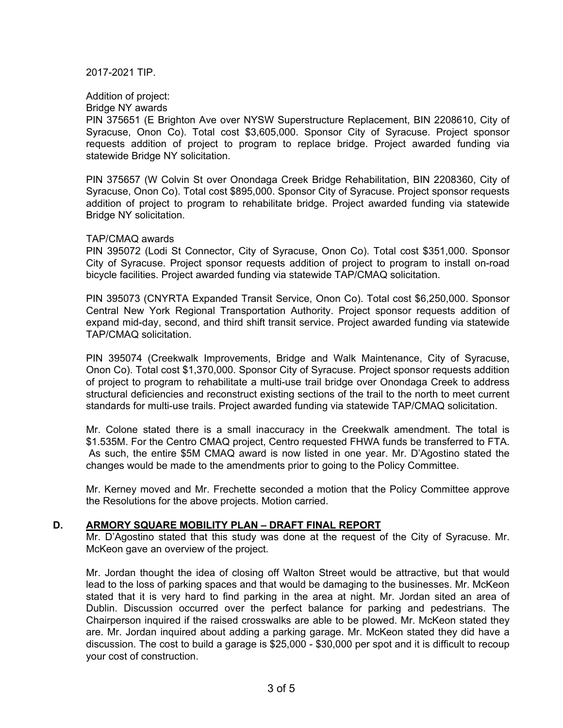2017-2021 TIP.

Addition of project:

Bridge NY awards

PIN 375651 (E Brighton Ave over NYSW Superstructure Replacement, BIN 2208610, City of Syracuse, Onon Co). Total cost \$3,605,000. Sponsor City of Syracuse. Project sponsor requests addition of project to program to replace bridge. Project awarded funding via statewide Bridge NY solicitation.

PIN 375657 (W Colvin St over Onondaga Creek Bridge Rehabilitation, BIN 2208360, City of Syracuse, Onon Co). Total cost \$895,000. Sponsor City of Syracuse. Project sponsor requests addition of project to program to rehabilitate bridge. Project awarded funding via statewide Bridge NY solicitation.

### TAP/CMAQ awards

PIN 395072 (Lodi St Connector, City of Syracuse, Onon Co). Total cost \$351,000. Sponsor City of Syracuse. Project sponsor requests addition of project to program to install on-road bicycle facilities. Project awarded funding via statewide TAP/CMAQ solicitation.

PIN 395073 (CNYRTA Expanded Transit Service, Onon Co). Total cost \$6,250,000. Sponsor Central New York Regional Transportation Authority. Project sponsor requests addition of expand mid-day, second, and third shift transit service. Project awarded funding via statewide TAP/CMAQ solicitation.

PIN 395074 (Creekwalk Improvements, Bridge and Walk Maintenance, City of Syracuse, Onon Co). Total cost \$1,370,000. Sponsor City of Syracuse. Project sponsor requests addition of project to program to rehabilitate a multi-use trail bridge over Onondaga Creek to address structural deficiencies and reconstruct existing sections of the trail to the north to meet current standards for multi-use trails. Project awarded funding via statewide TAP/CMAQ solicitation.

Mr. Colone stated there is a small inaccuracy in the Creekwalk amendment. The total is \$1.535M. For the Centro CMAQ project, Centro requested FHWA funds be transferred to FTA. As such, the entire \$5M CMAQ award is now listed in one year. Mr. D'Agostino stated the changes would be made to the amendments prior to going to the Policy Committee.

Mr. Kerney moved and Mr. Frechette seconded a motion that the Policy Committee approve the Resolutions for the above projects. Motion carried.

### **D. ARMORY SQUARE MOBILITY PLAN – DRAFT FINAL REPORT**

Mr. D'Agostino stated that this study was done at the request of the City of Syracuse. Mr. McKeon gave an overview of the project.

Mr. Jordan thought the idea of closing off Walton Street would be attractive, but that would lead to the loss of parking spaces and that would be damaging to the businesses. Mr. McKeon stated that it is very hard to find parking in the area at night. Mr. Jordan sited an area of Dublin. Discussion occurred over the perfect balance for parking and pedestrians. The Chairperson inquired if the raised crosswalks are able to be plowed. Mr. McKeon stated they are. Mr. Jordan inquired about adding a parking garage. Mr. McKeon stated they did have a discussion. The cost to build a garage is \$25,000 - \$30,000 per spot and it is difficult to recoup your cost of construction.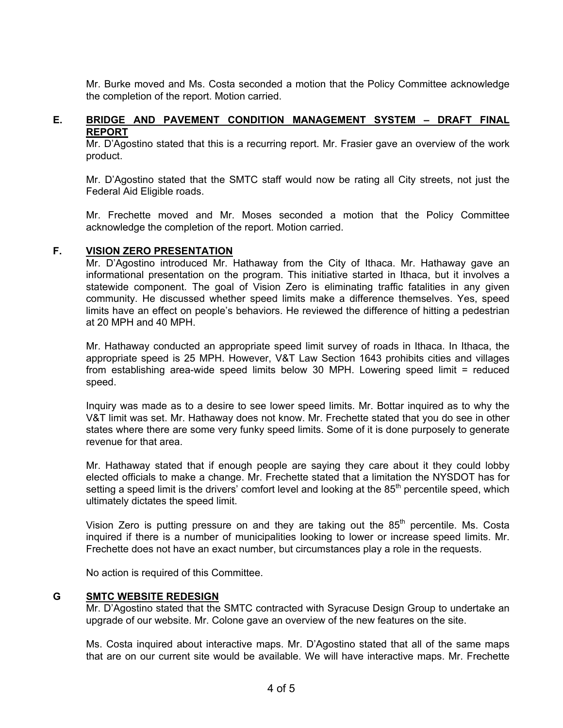Mr. Burke moved and Ms. Costa seconded a motion that the Policy Committee acknowledge the completion of the report. Motion carried.

### **E. BRIDGE AND PAVEMENT CONDITION MANAGEMENT SYSTEM – DRAFT FINAL REPORT**

Mr. D'Agostino stated that this is a recurring report. Mr. Frasier gave an overview of the work product.

Mr. D'Agostino stated that the SMTC staff would now be rating all City streets, not just the Federal Aid Eligible roads.

Mr. Frechette moved and Mr. Moses seconded a motion that the Policy Committee acknowledge the completion of the report. Motion carried.

### **F. VISION ZERO PRESENTATION**

Mr. D'Agostino introduced Mr. Hathaway from the City of Ithaca. Mr. Hathaway gave an informational presentation on the program. This initiative started in Ithaca, but it involves a statewide component. The goal of Vision Zero is eliminating traffic fatalities in any given community. He discussed whether speed limits make a difference themselves. Yes, speed limits have an effect on people's behaviors. He reviewed the difference of hitting a pedestrian at 20 MPH and 40 MPH.

Mr. Hathaway conducted an appropriate speed limit survey of roads in Ithaca. In Ithaca, the appropriate speed is 25 MPH. However, V&T Law Section 1643 prohibits cities and villages from establishing area-wide speed limits below 30 MPH. Lowering speed limit = reduced speed.

Inquiry was made as to a desire to see lower speed limits. Mr. Bottar inquired as to why the V&T limit was set. Mr. Hathaway does not know. Mr. Frechette stated that you do see in other states where there are some very funky speed limits. Some of it is done purposely to generate revenue for that area.

Mr. Hathaway stated that if enough people are saying they care about it they could lobby elected officials to make a change. Mr. Frechette stated that a limitation the NYSDOT has for setting a speed limit is the drivers' comfort level and looking at the  $85<sup>th</sup>$  percentile speed, which ultimately dictates the speed limit.

Vision Zero is putting pressure on and they are taking out the  $85<sup>th</sup>$  percentile. Ms. Costa inquired if there is a number of municipalities looking to lower or increase speed limits. Mr. Frechette does not have an exact number, but circumstances play a role in the requests.

No action is required of this Committee.

### **G SMTC WEBSITE REDESIGN**

Mr. D'Agostino stated that the SMTC contracted with Syracuse Design Group to undertake an upgrade of our website. Mr. Colone gave an overview of the new features on the site.

Ms. Costa inquired about interactive maps. Mr. D'Agostino stated that all of the same maps that are on our current site would be available. We will have interactive maps. Mr. Frechette